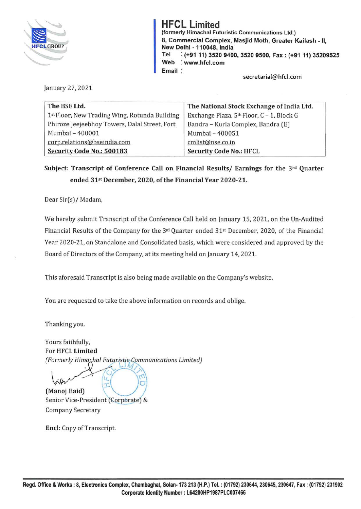

**HFCL Limited (formerly Himachal Futuristic Communications Ltd.) 8, Commercial Complex, Masjid Moth, Greater Kailash** - II, **New Delhi** - **110048, India Tel** : **(+9111) 3520 9400, 3520 9500, Fax: (+9111) 35209525 Web** : **www.hfcl.com Email** 

**secretarial@hfcl.com** 

January 27, 2021

| The BSE Ltd.                                  | The National Stock Exchange of India Ltd. |
|-----------------------------------------------|-------------------------------------------|
| 1st Floor, New Trading Wing, Rotunda Building | Exchange Plaza, 5th Floor, C - 1, Block G |
| Phiroze Jeejeebhoy Towers, Dalal Street, Fort | Bandra - Kurla Complex, Bandra (E)        |
| Mumbai - 400001                               | Mumbai - 400051                           |
| corp.relations@bseindia.com                   | cmlist@nse.co.in                          |
| Security Code No.: 500183                     | <b>Security Code No.: HFCL</b>            |

**Subject: Transcript of Conference Call on Financial Results/ Earnings for the 3rd Quarter ended 31st December, 2020, of the Financial Year 2020-21.** 

Dear Sir(s)/ Madam,

We hereby submit Transcript of the Conference Call held on January 15, 2021, on the Un-Audited Financial Results of the Company for the 3rd Quarter ended 31st December, 2020, of the Financial Year 2020-21, on Standalone and Consolidated basis, which were considered and approved by the Board of Directors of the Company, at its meeting held on January 14, 2021.

This aforesaid Transcript is also being made available on the Company's website.

You are requested to take the above information on records and oblige.

Thanking you.

Yours faithfully, For **HFCL Limited**  *(Form~rly Hi~a h:;:~o <sup>t</sup> t{~~o; munications limited)* 

 $\frac{1}{2}$  ,  $\frac{1}{2}$  ,  $\frac{1}{2}$  ,  $\frac{1}{2}$ **(Manoj Baid)**  Senior Vice-President (Corporate) & Company Secretary

**Encl:** Copy of Transcript.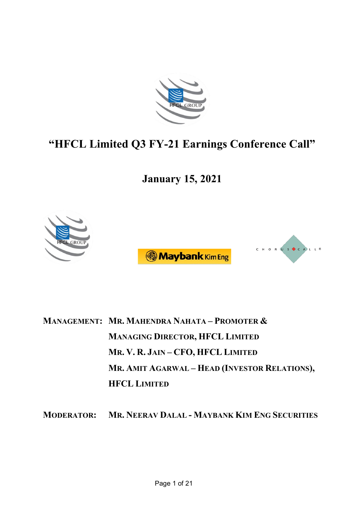

# **"HFCL Limited Q3 FY-21 Earnings Conference Call"**

**January 15, 2021**



**MANAGEMENT: MR. MAHENDRA NAHATA – PROMOTER & MANAGING DIRECTOR, HFCL LIMITED MR. V. R. JAIN – CFO, HFCL LIMITED MR. AMIT AGARWAL – HEAD (INVESTOR RELATIONS), HFCL LIMITED**

**MODERATOR: MR. NEERAV DALAL - MAYBANK KIM ENG SECURITIES**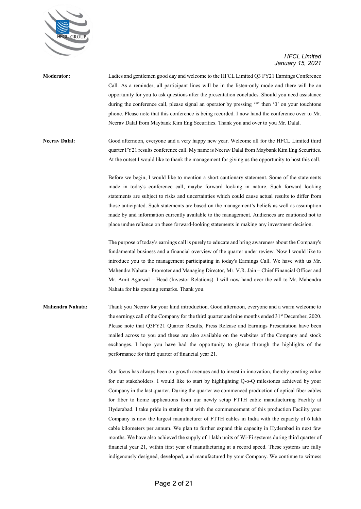

| <b>Moderator:</b> | Ladies and gentlemen good day and welcome to the HFCL Limited Q3 FY21 Earnings Conference         |
|-------------------|---------------------------------------------------------------------------------------------------|
|                   | Call. As a reminder, all participant lines will be in the listen-only mode and there will be an   |
|                   | opportunity for you to ask questions after the presentation concludes. Should you need assistance |
|                   | during the conference call, please signal an operator by pressing '*' then '0' on your touchtone  |
|                   | phone. Please note that this conference is being recorded. I now hand the conference over to Mr.  |
|                   | Neeray Dalal from Maybank Kim Eng Securities. Thank you and over to you Mr. Dalal.                |
|                   |                                                                                                   |

**Neerav Dalal:** Good afternoon, everyone and a very happy new year. Welcome all for the HFCL Limited third quarter FY21 results conference call. My name is Neerav Dalal from Maybank Kim Eng Securities. At the outset I would like to thank the management for giving us the opportunity to host this call.

> Before we begin, I would like to mention a short cautionary statement. Some of the statements made in today's conference call, maybe forward looking in nature. Such forward looking statements are subject to risks and uncertainties which could cause actual results to differ from those anticipated. Such statements are based on the management's beliefs as well as assumption made by and information currently available to the management. Audiences are cautioned not to place undue reliance on these forward-looking statements in making any investment decision.

> The purpose of today's earnings call is purely to educate and bring awareness about the Company's fundamental business and a financial overview of the quarter under review. Now I would like to introduce you to the management participating in today's Earnings Call. We have with us Mr. Mahendra Nahata - Promoter and Managing Director, Mr. V.R. Jain – Chief Financial Officer and Mr. Amit Agarwal – Head (Investor Relations). I will now hand over the call to Mr. Mahendra Nahata for his opening remarks. Thank you.

**Mahendra Nahata:** Thank you Neerav for your kind introduction. Good afternoon, everyone and a warm welcome to the earnings call of the Company for the third quarter and nine months ended 31<sup>st</sup> December, 2020. Please note that Q3FY21 Quarter Results, Press Release and Earnings Presentation have been mailed across to you and these are also available on the websites of the Company and stock exchanges. I hope you have had the opportunity to glance through the highlights of the performance for third quarter of financial year 21.

> Our focus has always been on growth avenues and to invest in innovation, thereby creating value for our stakeholders. I would like to start by highlighting Q-o-Q milestones achieved by your Company in the last quarter. During the quarter we commenced production of optical fiber cables for fiber to home applications from our newly setup FTTH cable manufacturing Facility at Hyderabad. I take pride in stating that with the commencement of this production Facility your Company is now the largest manufacturer of FTTH cables in India with the capacity of 6 lakh cable kilometers per annum. We plan to further expand this capacity in Hyderabad in next few months. We have also achieved the supply of 1 lakh units of Wi-Fi systems during third quarter of financial year 21, within first year of manufacturing at a record speed. These systems are fully indigenously designed, developed, and manufactured by your Company. We continue to witness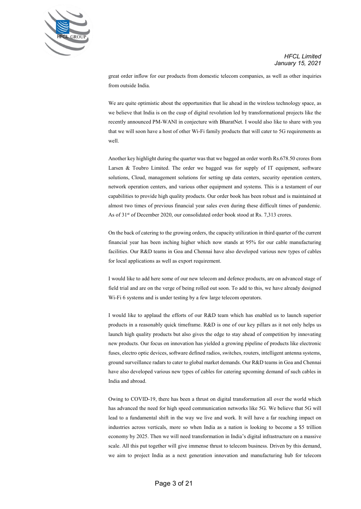

great order inflow for our products from domestic telecom companies, as well as other inquiries from outside India.

We are quite optimistic about the opportunities that lie ahead in the wireless technology space, as we believe that India is on the cusp of digital revolution led by transformational projects like the recently announced PM-WANI in conjecture with BharatNet. I would also like to share with you that we will soon have a host of other Wi-Fi family products that will cater to 5G requirements as well.

Another key highlight during the quarter was that we bagged an order worth Rs.678.50 crores from Larsen & Toubro Limited. The order we bagged was for supply of IT equipment, software solutions, Cloud, management solutions for setting up data centers, security operation centers, network operation centers, and various other equipment and systems. This is a testament of our capabilities to provide high quality products. Our order book has been robust and is maintained at almost two times of previous financial year sales even during these difficult times of pandemic. As of 31<sup>st</sup> of December 2020, our consolidated order book stood at Rs. 7,313 crores.

On the back of catering to the growing orders, the capacity utilization in third quarter of the current financial year has been inching higher which now stands at 95% for our cable manufacturing facilities. Our R&D teams in Goa and Chennai have also developed various new types of cables for local applications as well as export requirement.

I would like to add here some of our new telecom and defence products, are on advanced stage of field trial and are on the verge of being rolled out soon. To add to this, we have already designed Wi-Fi 6 systems and is under testing by a few large telecom operators.

I would like to applaud the efforts of our R&D team which has enabled us to launch superior products in a reasonably quick timeframe. R&D is one of our key pillars as it not only helps us launch high quality products but also gives the edge to stay ahead of competition by innovating new products. Our focus on innovation has yielded a growing pipeline of products like electronic fuses, electro optic devices, software defined radios, switches, routers, intelligent antenna systems, ground surveillance radars to cater to global market demands. Our R&D teams in Goa and Chennai have also developed various new types of cables for catering upcoming demand of such cables in India and abroad.

Owing to COVID-19, there has been a thrust on digital transformation all over the world which has advanced the need for high speed communication networks like 5G. We believe that 5G will lead to a fundamental shift in the way we live and work. It will have a far reaching impact on industries across verticals, more so when India as a nation is looking to become a \$5 trillion economy by 2025. Then we will need transformation in India's digital infrastructure on a massive scale. All this put together will give immense thrust to telecom business. Driven by this demand, we aim to project India as a next generation innovation and manufacturing hub for telecom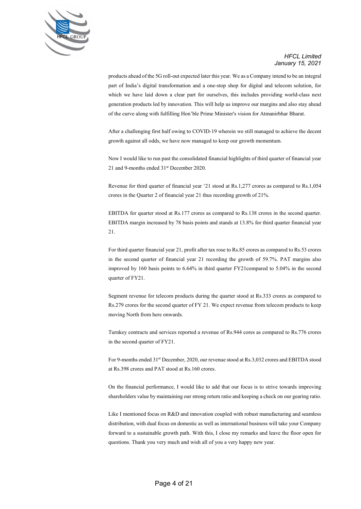

products ahead of the 5G roll-out expected later this year. We as a Company intend to be an integral part of India's digital transformation and a one-stop shop for digital and telecom solution, for which we have laid down a clear part for ourselves, this includes providing world-class next generation products led by innovation. This will help us improve our margins and also stay ahead of the curve along with fulfilling Hon'ble Prime Minister's vision for Atmanirbhar Bharat.

After a challenging first half owing to COVID-19 wherein we still managed to achieve the decent growth against all odds, we have now managed to keep our growth momentum.

Now I would like to run past the consolidated financial highlights of third quarter of financial year 21 and 9-months ended 31st December 2020.

Revenue for third quarter of financial year '21 stood at Rs.1,277 crores as compared to Rs.1,054 crores in the Quarter 2 of financial year 21 thus recording growth of 21%.

EBITDA for quarter stood at Rs.177 crores as compared to Rs.138 crores in the second quarter. EBITDA margin increased by 78 basis points and stands at 13.8% for third quarter financial year 21.

For third quarter financial year 21, profit after tax rose to Rs.85 crores as compared to Rs.53 crores in the second quarter of financial year 21 recording the growth of 59.7%. PAT margins also improved by 160 basis points to 6.64% in third quarter FY21compared to 5.04% in the second quarter of FY21.

Segment revenue for telecom products during the quarter stood at Rs.333 crores as compared to Rs.279 crores for the second quarter of FY 21. We expect revenue from telecom products to keep moving North from here onwards.

Turnkey contracts and services reported a revenue of Rs.944 cores as compared to Rs.776 crores in the second quarter of FY21.

For 9-months ended 31st December, 2020, our revenue stood at Rs.3,032 crores and EBITDA stood at Rs.398 crores and PAT stood at Rs.160 crores.

On the financial performance, I would like to add that our focus is to strive towards improving shareholders value by maintaining our strong return ratio and keeping a check on our gearing ratio.

Like I mentioned focus on R&D and innovation coupled with robust manufacturing and seamless distribution, with dual focus on domestic as well as international business will take your Company forward to a sustainable growth path. With this, I close my remarks and leave the floor open for questions. Thank you very much and wish all of you a very happy new year.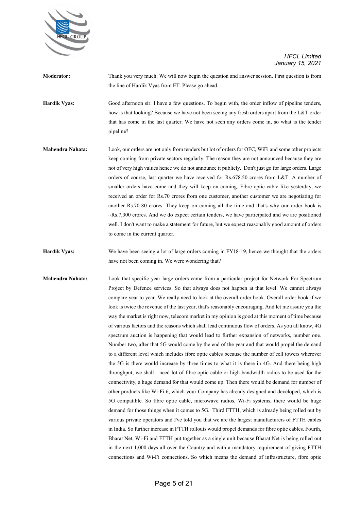

| <b>Moderator:</b>       | Thank you very much. We will now begin the question and answer session. First question is from     |
|-------------------------|----------------------------------------------------------------------------------------------------|
|                         | the line of Hardik Vyas from ET. Please go ahead.                                                  |
| <b>Hardik Vyas:</b>     | Good afternoon sir. I have a few questions. To begin with, the order inflow of pipeline tenders,   |
|                         | how is that looking? Because we have not been seeing any fresh orders apart from the L&T order     |
|                         | that has come in the last quarter. We have not seen any orders come in, so what is the tender      |
|                         | pipeline?                                                                                          |
| <b>Mahendra Nahata:</b> | Look, our orders are not only from tenders but lot of orders for OFC, WiFi and some other projects |
|                         | keep coming from private sectors regularly. The reason they are not announced because they are     |
|                         |                                                                                                    |

not of very high values hence we do not announce it publicly. Don't just go for large orders. Large orders of course, last quarter we have received for Rs.678.50 crores from L&T. A number of smaller orders have come and they will keep on coming. Fibre optic cable like yesterday, we received an order for Rs.70 crores from one customer, another customer we are negotiating for another Rs.70-80 crores. They keep on coming all the time and that's why our order book is ~Rs.7,300 crores. And we do expect certain tenders, we have participated and we are positioned well. I don't want to make a statement for future, but we expect reasonably good amount of orders to come in the current quarter.

**Hardik Vyas:** We have been seeing a lot of large orders coming in FY18-19, hence we thought that the orders have not been coming in. We were wondering that?

**Mahendra Nahata:** Look that specific year large orders came from a particular project for Network For Spectrum Project by Defence services. So that always does not happen at that level. We cannot always compare year to year. We really need to look at the overall order book. Overall order book if we look is twice the revenue of the last year, that's reasonably encouraging. And let me assure you the way the market is right now, telecom market in my opinion is good at this moment of time because of various factors and the reasons which shall lead continuous flow of orders. As you all know, 4G spectrum auction is happening that would lead to further expansion of networks, number one. Number two, after that 5G would come by the end of the year and that would propel the demand to a different level which includes fibre optic cables because the number of cell towers wherever the 5G is there would increase by three times to what it is there in 4G. And there being high throughput, we shall need lot of fibre optic cable or high bandwidth radios to be used for the connectivity, a huge demand for that would come up. Then there would be demand for number of other products like Wi-Fi 6, which your Company has already designed and developed, which is 5G compatible. So fibre optic cable, microwave radios, Wi-Fi systems, there would be huge demand for those things when it comes to 5G. Third FTTH, which is already being rolled out by various private operators and I've told you that we are the largest manufacturers of FTTH cables in India. So further increase in FTTH rollouts would propel demands for fibre optic cables. Fourth, Bharat Net, Wi-Fi and FTTH put together as a single unit because Bharat Net is being rolled out in the next 1,000 days all over the Country and with a mandatory requirement of giving FTTH connections and Wi-Fi connections. So which means the demand of infrastructure, fibre optic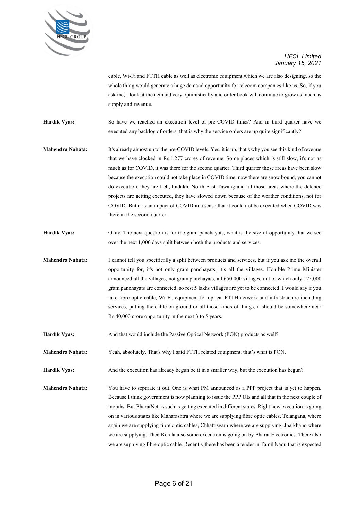

cable, Wi-Fi and FTTH cable as well as electronic equipment which we are also designing, so the whole thing would generate a huge demand opportunity for telecom companies like us. So, if you ask me, I look at the demand very optimistically and order book will continue to grow as much as supply and revenue.

**Hardik Vyas:** So have we reached an execution level of pre-COVID times? And in third quarter have we executed any backlog of orders, that is why the service orders are up quite significantly?

**Mahendra Nahata:** It's already almost up to the pre-COVID levels. Yes, it is up, that's why you see this kind of revenue that we have clocked in Rs.1,277 crores of revenue. Some places which is still slow, it's not as much as for COVID, it was there for the second quarter. Third quarter those areas have been slow because the execution could not take place in COVID time, now there are snow bound, you cannot do execution, they are Leh, Ladakh, North East Tawang and all those areas where the defence projects are getting executed, they have slowed down because of the weather conditions, not for COVID. But it is an impact of COVID in a sense that it could not be executed when COVID was there in the second quarter.

**Hardik Vyas:** Okay. The next question is for the gram panchayats, what is the size of opportunity that we see over the next 1,000 days split between both the products and services.

**Mahendra Nahata:** I cannot tell you specifically a split between products and services, but if you ask me the overall opportunity for, it's not only gram panchayats, it's all the villages. Hon'ble Prime Minister announced all the villages, not gram panchayats, all 650,000 villages, out of which only 125,000 gram panchayats are connected, so rest 5 lakhs villages are yet to be connected. I would say if you take fibre optic cable, Wi-Fi, equipment for optical FTTH network and infrastructure including services, putting the cable on ground or all those kinds of things, it should be somewhere near Rs.40,000 crore opportunity in the next 3 to 5 years.

**Hardik Vyas:** And that would include the Passive Optical Network (PON) products as well?

**Mahendra Nahata:** Yeah, absolutely. That's why I said FTTH related equipment, that's what is PON.

**Hardik Vyas:** And the execution has already begun be it in a smaller way, but the execution has begun?

**Mahendra Nahata:** You have to separate it out. One is what PM announced as a PPP project that is yet to happen. Because I think government is now planning to issue the PPP UIs and all that in the next couple of months. But BharatNet as such is getting executed in different states. Right now execution is going on in various states like Maharashtra where we are supplying fibre optic cables. Telangana, where again we are supplying fibre optic cables, Chhattisgarh where we are supplying, Jharkhand where we are supplying. Then Kerala also some execution is going on by Bharat Electronics. There also we are supplying fibre optic cable. Recently there has been a tender in Tamil Nadu that is expected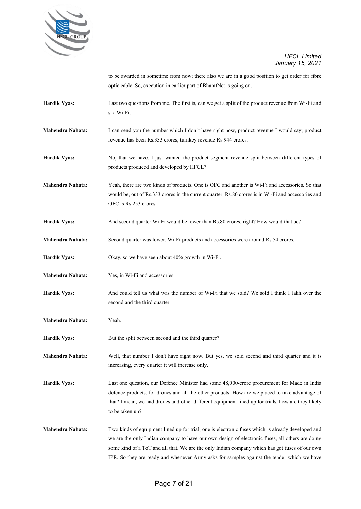

to be awarded in sometime from now; there also we are in a good position to get order for fibre optic cable. So, execution in earlier part of BharatNet is going on.

- **Hardik Vyas:** Last two questions from me. The first is, can we get a split of the product revenue from Wi-Fi and six-Wi-Fi.
- **Mahendra Nahata:** I can send you the number which I don't have right now, product revenue I would say; product revenue has been Rs.333 crores, turnkey revenue Rs.944 crores.
- **Hardik Vyas:** No, that we have. I just wanted the product segment revenue split between different types of products produced and developed by HFCL?
- **Mahendra Nahata:** Yeah, there are two kinds of products. One is OFC and another is Wi-Fi and accessories. So that would be, out of Rs.333 crores in the current quarter, Rs.80 crores is in Wi-Fi and accessories and OFC is Rs.253 crores.
- **Hardik Vyas:** And second quarter Wi-Fi would be lower than Rs.80 crores, right? How would that be?
- **Mahendra Nahata:** Second quarter was lower. Wi-Fi products and accessories were around Rs.54 crores.
- **Hardik Vyas:** Okay, so we have seen about 40% growth in Wi-Fi.
- **Mahendra Nahata:** Yes, in Wi-Fi and accessories.
- **Hardik Vyas:** And could tell us what was the number of Wi-Fi that we sold? We sold I think 1 lakh over the second and the third quarter.
- **Mahendra Nahata:** Yeah.
- **Hardik Vyas:** But the split between second and the third quarter?

**Mahendra Nahata:** Well, that number I don't have right now. But yes, we sold second and third quarter and it is increasing, every quarter it will increase only.

- **Hardik Vyas:** Last one question, our Defence Minister had some 48,000-crore procurement for Made in India defence products, for drones and all the other products. How are we placed to take advantage of that? I mean, we had drones and other different equipment lined up for trials, how are they likely to be taken up?
- **Mahendra Nahata:** Two kinds of equipment lined up for trial, one is electronic fuses which is already developed and we are the only Indian company to have our own design of electronic fuses, all others are doing some kind of a ToT and all that. We are the only Indian company which has got fuses of our own IPR. So they are ready and whenever Army asks for samples against the tender which we have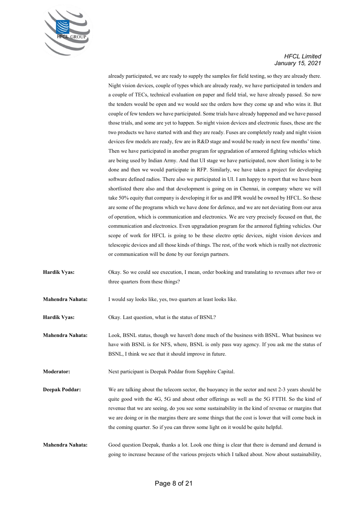

already participated, we are ready to supply the samples for field testing, so they are already there. Night vision devices, couple of types which are already ready, we have participated in tenders and a couple of TECs, technical evaluation on paper and field trial, we have already passed. So now the tenders would be open and we would see the orders how they come up and who wins it. But couple of few tenders we have participated. Some trials have already happened and we have passed those trials, and some are yet to happen. So night vision devices and electronic fuses, these are the two products we have started with and they are ready. Fuses are completely ready and night vision devices few models are ready, few are in R&D stage and would be ready in next few months' time. Then we have participated in another program for upgradation of armored fighting vehicles which are being used by Indian Army. And that UI stage we have participated, now short listing is to be done and then we would participate in RFP. Similarly, we have taken a project for developing software defined radios. There also we participated in UI. I am happy to report that we have been shortlisted there also and that development is going on in Chennai, in company where we will take 50% equity that company is developing it for us and IPR would be owned by HFCL. So these are some of the programs which we have done for defence, and we are not deviating from our area of operation, which is communication and electronics. We are very precisely focused on that, the communication and electronics. Even upgradation program for the armored fighting vehicles. Our scope of work for HFCL is going to be these electro optic devices, night vision devices and telescopic devices and all those kinds of things. The rest, of the work which is really not electronic or communication will be done by our foreign partners.

- **Hardik Vyas:** Okay. So we could see execution, I mean, order booking and translating to revenues after two or three quarters from these things?
- **Mahendra Nahata:** I would say looks like, yes, two quarters at least looks like.

**Hardik Vyas:** Okay. Last question, what is the status of BSNL?

**Mahendra Nahata:** Look, BSNL status, though we haven't done much of the business with BSNL. What business we have with BSNL is for NFS, where, BSNL is only pass way agency. If you ask me the status of BSNL, I think we see that it should improve in future.

**Moderator:** Next participant is Deepak Poddar from Sapphire Capital.

**Deepak Poddar:** We are talking about the telecom sector, the buoyancy in the sector and next 2-3 years should be quite good with the 4G, 5G and about other offerings as well as the 5G FTTH. So the kind of revenue that we are seeing, do you see some sustainability in the kind of revenue or margins that we are doing or in the margins there are some things that the cost is lower that will come back in the coming quarter. So if you can throw some light on it would be quite helpful.

**Mahendra Nahata:** Good question Deepak, thanks a lot. Look one thing is clear that there is demand and demand is going to increase because of the various projects which I talked about. Now about sustainability,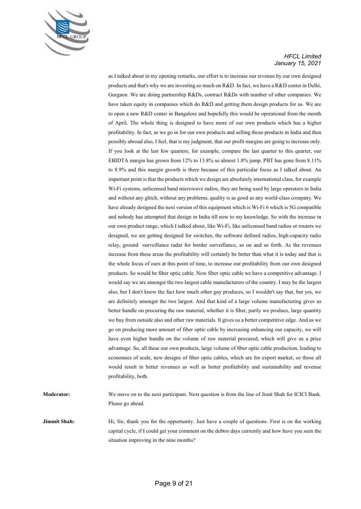

as I talked about in my opening remarks, our effort is to increase our revenue by our own designed products and that's why we are investing so much on R&D. In fact, we have a R&D center in Delhi, Gurgaon. We are doing partnership R&Ds, contract R&Ds with number of other companies. We have taken equity in companies which do R&D and getting them design products for us. We are to open a new R&D center in Bangalore and hopefully this would be operational from the month of April. The whole thing is designed to have more of our own products which has a higher profitability. In fact, as we go in for our own products and selling those products in India and then possibly abroad also, I feel, that is my judgment, that our profit margins are going to increase only. If you look at the last few quarters, for example, compare the last quarter to this quarter, our EBIDTA margin has grown from 12% to 13.8% so almost 1.8% jump. PBT has gone from 8.11% to 8.9% and this margin growth is there because of this particular focus as I talked about. An important point is that the products which we design are absolutely international class, for example Wi-Fi systems, unlicensed band microwave radios, they are being used by large operators in India and without any glitch, without any problems, quality is as good as any world-class company. We have already designed the next version of this equipment which is Wi-Fi 6 which is 5G compatible and nobody has attempted that design in India till now to my knowledge. So with the increase in our own product range, which I talked about, like Wi-Fi, like unlicensed band radios or routers we designed, we are getting designed for switches, the software defined radios, high-capacity radio relay, ground surveillance radar for border surveillance, so on and so forth. As the revenues increase from these areas the profitability will certainly be better than what it is today and that is the whole focus of ours at this point of time, to increase our profitability from our own designed products. So would be fiber optic cable. Now fiber optic cable we have a competitive advantage. I would say we are amongst the two largest cable manufacturers of the country. I may be the largest also, but I don't know the fact how much other guy produces, so I wouldn't say that, but yes, we are definitely amongst the two largest. And that kind of a large volume manufacturing gives us better handle on procuring the raw material, whether it is fiber, partly we produce, large quantity we buy from outside also and other raw materials. It gives us a better competitive edge. And as we go on producing more amount of fiber optic cable by increasing enhancing our capacity, we will have even higher handle on the volume of raw material procured, which will give us a price advantage. So, all these our own products, large volume of fiber optic cable production, leading to economies of scale, new designs of fiber optic cables, which are for export market, so those all would result in better revenues as well as better profitability and sustainability and revenue profitability, both.

**Moderator:** We move on to the next participant. Next question is from the line of Jimit Shah for ICICI Bank. Please go ahead.

**Jimmit Shah:** Hi, Sir, thank you for the opportunity. Just have a couple of questions. First is on the working capital cycle, if I could get your comment on the debtor days currently and how have you seen the situation improving in the nine months?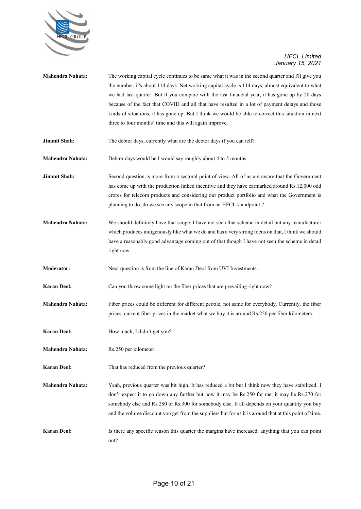

| <b>Mahendra Nahata:</b> | The working capital cycle continues to be same what it was in the second quarter and I'll give you<br>the number, it's about 114 days. Net working capital cycle is 114 days, almost equivalent to what<br>we had last quarter. But if you compare with the last financial year, it has gone up by 20 days<br>because of the fact that COVID and all that have resulted in a lot of payment delays and those<br>kinds of situations, it has gone up. But I think we would be able to correct this situation in next<br>three to four months' time and this will again improve. |
|-------------------------|--------------------------------------------------------------------------------------------------------------------------------------------------------------------------------------------------------------------------------------------------------------------------------------------------------------------------------------------------------------------------------------------------------------------------------------------------------------------------------------------------------------------------------------------------------------------------------|
| Jimmit Shah:            | The debtor days, currently what are the debtor days if you can tell?                                                                                                                                                                                                                                                                                                                                                                                                                                                                                                           |
| <b>Mahendra Nahata:</b> | Debtor days would be I would say roughly about 4 to 5 months.                                                                                                                                                                                                                                                                                                                                                                                                                                                                                                                  |
| Jimmit Shah:            | Second question is more from a sectoral point of view. All of us are aware that the Government<br>has come up with the production linked incentive and they have earmarked around Rs.12,000 odd<br>crores for telecom products and considering our product portfolio and what the Government is<br>planning to do, do we see any scope in that from an HFCL standpoint?                                                                                                                                                                                                        |
| <b>Mahendra Nahata:</b> | We should definitely have that scope. I have not seen that scheme in detail but any manufacturer<br>which produces indigenously like what we do and has a very strong focus on that, I think we should<br>have a reasonably good advantage coming out of that though I have not seen the scheme in detail<br>right now.                                                                                                                                                                                                                                                        |
| <b>Moderator:</b>       | Next question is from the line of Karan Deol from UVI Investments.                                                                                                                                                                                                                                                                                                                                                                                                                                                                                                             |
| <b>Karan Deol:</b>      | Can you throw some light on the fiber prices that are prevailing right now?                                                                                                                                                                                                                                                                                                                                                                                                                                                                                                    |
| Mahendra Nahata:        | Fiber prices could be different for different people, not same for everybody. Currently, the fiber<br>prices, current fiber prices in the market what we buy it is around Rs.250 per fiber kilometers.                                                                                                                                                                                                                                                                                                                                                                         |
| <b>Karan Deol:</b>      | How much, I didn't get you?                                                                                                                                                                                                                                                                                                                                                                                                                                                                                                                                                    |
| Mahendra Nahata:        | Rs.250 per kilometer.                                                                                                                                                                                                                                                                                                                                                                                                                                                                                                                                                          |
| <b>Karan Deol:</b>      | That has reduced from the previous quarter?                                                                                                                                                                                                                                                                                                                                                                                                                                                                                                                                    |
| <b>Mahendra Nahata:</b> | Yeah, previous quarter was bit high. It has reduced a bit but I think now they have stabilized. I<br>don't expect it to go down any further but now it may be Rs.250 for me, it may be Rs.270 for<br>somebody else and Rs.280 or Rs.300 for somebody else. It all depends on your quantity you buy<br>and the volume discount you get from the suppliers but for us it is around that at this point of time.                                                                                                                                                                   |
| <b>Karan Deol:</b>      | Is there any specific reason this quarter the margins have increased, anything that you can point<br>out?                                                                                                                                                                                                                                                                                                                                                                                                                                                                      |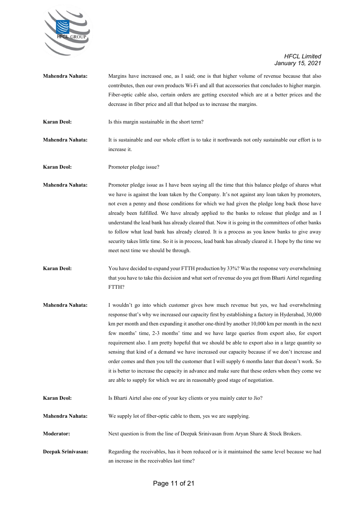

| <b>Mahendra Nahata:</b> | Margins have increased one, as I said; one is that higher volume of revenue because that also<br>contributes, then our own products Wi-Fi and all that accessories that concludes to higher margin.<br>Fiber-optic cable also, certain orders are getting executed which are at a better prices and the                                                                                                                                                                                                                                                                                                                                                                                                                                                                                                                                                                                        |
|-------------------------|------------------------------------------------------------------------------------------------------------------------------------------------------------------------------------------------------------------------------------------------------------------------------------------------------------------------------------------------------------------------------------------------------------------------------------------------------------------------------------------------------------------------------------------------------------------------------------------------------------------------------------------------------------------------------------------------------------------------------------------------------------------------------------------------------------------------------------------------------------------------------------------------|
|                         | decrease in fiber price and all that helped us to increase the margins.                                                                                                                                                                                                                                                                                                                                                                                                                                                                                                                                                                                                                                                                                                                                                                                                                        |
| <b>Karan Deol:</b>      | Is this margin sustainable in the short term?                                                                                                                                                                                                                                                                                                                                                                                                                                                                                                                                                                                                                                                                                                                                                                                                                                                  |
| <b>Mahendra Nahata:</b> | It is sustainable and our whole effort is to take it northwards not only sustainable our effort is to<br>increase it.                                                                                                                                                                                                                                                                                                                                                                                                                                                                                                                                                                                                                                                                                                                                                                          |
| <b>Karan Deol:</b>      | Promoter pledge issue?                                                                                                                                                                                                                                                                                                                                                                                                                                                                                                                                                                                                                                                                                                                                                                                                                                                                         |
| <b>Mahendra Nahata:</b> | Promoter pledge issue as I have been saying all the time that this balance pledge of shares what<br>we have is against the loan taken by the Company. It's not against any loan taken by promoters,<br>not even a penny and those conditions for which we had given the pledge long back those have<br>already been fulfilled. We have already applied to the banks to release that pledge and as I<br>understand the lead bank has already cleared that. Now it is going in the committees of other banks<br>to follow what lead bank has already cleared. It is a process as you know banks to give away<br>security takes little time. So it is in process, lead bank has already cleared it. I hope by the time we<br>meet next time we should be through.                                                                                                                                 |
| <b>Karan Deol:</b>      | You have decided to expand your FTTH production by 33%? Was the response very overwhelming<br>that you have to take this decision and what sort of revenue do you get from Bharti Airtel regarding<br>FTTH?                                                                                                                                                                                                                                                                                                                                                                                                                                                                                                                                                                                                                                                                                    |
| Mahendra Nahata:        | I wouldn't go into which customer gives how much revenue but yes, we had overwhelming<br>response that's why we increased our capacity first by establishing a factory in Hyderabad, 30,000<br>km per month and then expanding it another one-third by another 10,000 km per month in the next<br>few months' time, 2-3 months' time and we have large queries from export also, for export<br>requirement also. I am pretty hopeful that we should be able to export also in a large quantity so<br>sensing that kind of a demand we have increased our capacity because if we don't increase and<br>order comes and then you tell the customer that I will supply 6 months later that doesn't work. So<br>it is better to increase the capacity in advance and make sure that these orders when they come we<br>are able to supply for which we are in reasonably good stage of negotiation. |
| <b>Karan Deol:</b>      | Is Bharti Airtel also one of your key clients or you mainly cater to Jio?                                                                                                                                                                                                                                                                                                                                                                                                                                                                                                                                                                                                                                                                                                                                                                                                                      |
| <b>Mahendra Nahata:</b> | We supply lot of fiber-optic cable to them, yes we are supplying.                                                                                                                                                                                                                                                                                                                                                                                                                                                                                                                                                                                                                                                                                                                                                                                                                              |
| <b>Moderator:</b>       | Next question is from the line of Deepak Srinivasan from Aryan Share & Stock Brokers.                                                                                                                                                                                                                                                                                                                                                                                                                                                                                                                                                                                                                                                                                                                                                                                                          |
| Deepak Srinivasan:      | Regarding the receivables, has it been reduced or is it maintained the same level because we had<br>an increase in the receivables last time?                                                                                                                                                                                                                                                                                                                                                                                                                                                                                                                                                                                                                                                                                                                                                  |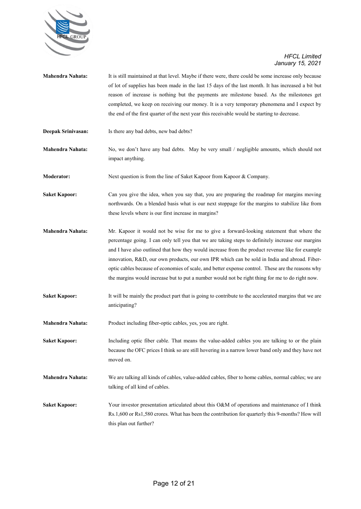

- **Mahendra Nahata:** It is still maintained at that level. Maybe if there were, there could be some increase only because of lot of supplies has been made in the last 15 days of the last month. It has increased a bit but reason of increase is nothing but the payments are milestone based. As the milestones get completed, we keep on receiving our money. It is a very temporary phenomena and I expect by the end of the first quarter of the next year this receivable would be starting to decrease.
- **Deepak Srinivasan:** Is there any bad debts, new bad debts?

**Mahendra Nahata:** No, we don't have any bad debts. May be very small / negligible amounts, which should not impact anything.

**Moderator:** Next question is from the line of Saket Kapoor from Kapoor & Company.

**Saket Kapoor:** Can you give the idea, when you say that, you are preparing the roadmap for margins moving northwards. On a blended basis what is our next stoppage for the margins to stabilize like from these levels where is our first increase in margins?

- **Mahendra Nahata:** Mr. Kapoor it would not be wise for me to give a forward-looking statement that where the percentage going. I can only tell you that we are taking steps to definitely increase our margins and I have also outlined that how they would increase from the product revenue like for example innovation, R&D, our own products, our own IPR which can be sold in India and abroad. Fiberoptic cables because of economies of scale, and better expense control. These are the reasons why the margins would increase but to put a number would not be right thing for me to do right now.
- **Saket Kapoor:** It will be mainly the product part that is going to contribute to the accelerated margins that we are anticipating?
- **Mahendra Nahata:** Product including fiber-optic cables, yes, you are right.

Saket Kapoor: Including optic fiber cable. That means the value-added cables you are talking to or the plain because the OFC prices I think so are still hovering in a narrow lower band only and they have not moved on.

**Mahendra Nahata:** We are talking all kinds of cables, value-added cables, fiber to home cables, normal cables; we are talking of all kind of cables.

**Saket Kapoor:** Your investor presentation articulated about this O&M of operations and maintenance of I think Rs.1,600 or Rs1,580 crores. What has been the contribution for quarterly this 9-months? How will this plan out further?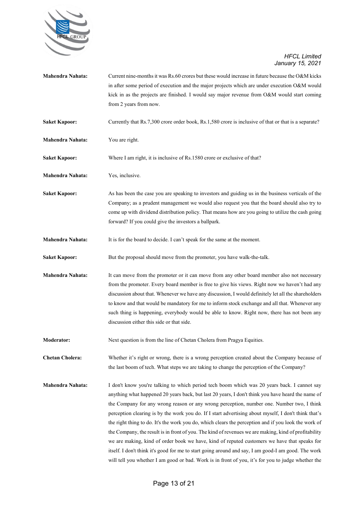

| Mahendra Nahata:        | Current nine-months it was Rs.60 crores but these would increase in future because the O&M kicks      |
|-------------------------|-------------------------------------------------------------------------------------------------------|
|                         | in after some period of execution and the major projects which are under execution O&M would          |
|                         | kick in as the projects are finished. I would say major revenue from O&M would start coming           |
|                         | from 2 years from now.                                                                                |
| <b>Saket Kapoor:</b>    | Currently that Rs.7,300 crore order book, Rs.1,580 crore is inclusive of that or that is a separate?  |
| <b>Mahendra Nahata:</b> | You are right.                                                                                        |
| <b>Saket Kapoor:</b>    | Where I am right, it is inclusive of Rs.1580 crore or exclusive of that?                              |
| <b>Mahendra Nahata:</b> | Yes, inclusive.                                                                                       |
| <b>Saket Kapoor:</b>    | As has been the case you are speaking to investors and guiding us in the business verticals of the    |
|                         | Company; as a prudent management we would also request you that the board should also try to          |
|                         | come up with dividend distribution policy. That means how are you going to utilize the cash going     |
|                         | forward? If you could give the investors a ballpark.                                                  |
| <b>Mahendra Nahata:</b> | It is for the board to decide. I can't speak for the same at the moment.                              |
| <b>Saket Kapoor:</b>    | But the proposal should move from the promoter, you have walk-the-talk.                               |
| <b>Mahendra Nahata:</b> | It can move from the promoter or it can move from any other board member also not necessary           |
|                         | from the promoter. Every board member is free to give his views. Right now we haven't had any         |
|                         | discussion about that. Whenever we have any discussion, I would definitely let all the shareholders   |
|                         | to know and that would be mandatory for me to inform stock exchange and all that. Whenever any        |
|                         | such thing is happening, everybody would be able to know. Right now, there has not been any           |
|                         | discussion either this side or that side.                                                             |
| <b>Moderator:</b>       | Next question is from the line of Chetan Cholera from Pragya Equities.                                |
| <b>Chetan Cholera:</b>  | Whether it's right or wrong, there is a wrong perception created about the Company because of         |
|                         | the last boom of tech. What steps we are taking to change the perception of the Company?              |
| <b>Mahendra Nahata:</b> | I don't know you're talking to which period tech boom which was 20 years back. I cannot say           |
|                         | anything what happened 20 years back, but last 20 years, I don't think you have heard the name of     |
|                         | the Company for any wrong reason or any wrong perception, number one. Number two, I think             |
|                         | perception clearing is by the work you do. If I start advertising about myself, I don't think that's  |
|                         | the right thing to do. It's the work you do, which clears the perception and if you look the work of  |
|                         | the Company, the result is in front of you. The kind of revenues we are making, kind of profitability |
|                         | we are making, kind of order book we have, kind of reputed customers we have that speaks for          |
|                         | itself. I don't think it's good for me to start going around and say, I am good-I am good. The work   |
|                         | will tell you whether I am good or bad. Work is in front of you, it's for you to judge whether the    |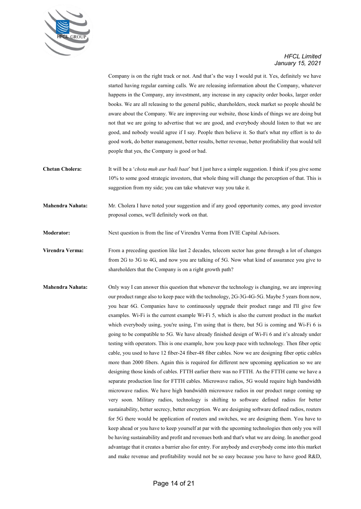

Company is on the right track or not. And that's the way I would put it. Yes, definitely we have started having regular earning calls. We are releasing information about the Company, whatever happens in the Company, any investment, any increase in any capacity order books, larger order books. We are all releasing to the general public, shareholders, stock market so people should be aware about the Company. We are improving our website, those kinds of things we are doing but not that we are going to advertise that we are good, and everybody should listen to that we are good, and nobody would agree if I say. People then believe it. So that's what my effort is to do good work, do better management, better results, better revenue, better profitability that would tell people that yes, the Company is good or bad.

- **Chetan Cholera:** It will be a '*chota muh aur badi baat*' but I just have a simple suggestion. I think if you give some 10% to some good strategic investors, that whole thing will change the perception of that. This is suggestion from my side; you can take whatever way you take it.
- **Mahendra Nahata:** Mr. Cholera I have noted your suggestion and if any good opportunity comes, any good investor proposal comes, we'll definitely work on that.
- **Moderator:** Next question is from the line of Virendra Verma from IVIE Capital Advisors.
- **Virendra Verma:** From a preceding question like last 2 decades, telecom sector has gone through a lot of changes from 2G to 3G to 4G, and now you are talking of 5G. Now what kind of assurance you give to shareholders that the Company is on a right growth path?
- **Mahendra Nahata:** Only way I can answer this question that whenever the technology is changing, we are improving our product range also to keep pace with the technology, 2G-3G-4G-5G. Maybe 5 years from now, you hear 6G. Companies have to continuously upgrade their product range and I'll give few examples. Wi-Fi is the current example Wi-Fi 5, which is also the current product in the market which everybody using, you're using, I'm using that is there, but 5G is coming and Wi-Fi 6 is going to be compatible to 5G. We have already finished design of Wi-Fi 6 and it's already under testing with operators. This is one example, how you keep pace with technology. Then fiber optic cable, you used to have 12 fiber-24 fiber-48 fiber cables. Now we are designing fiber optic cables more than 2000 fibers. Again this is required for different new upcoming application so we are designing those kinds of cables. FTTH earlier there was no FTTH. As the FTTH came we have a separate production line for FTTH cables. Microwave radios, 5G would require high bandwidth microwave radios. We have high bandwidth microwave radios in our product range coming up very soon. Military radios, technology is shifting to software defined radios for better sustainability, better secrecy, better encryption. We are designing software defined radios, routers for 5G there would be application of routers and switches, we are designing them. You have to keep ahead or you have to keep yourself at par with the upcoming technologies then only you will be having sustainability and profit and revenues both and that's what we are doing. In another good advantage that it creates a barrier also for entry. For anybody and everybody come into this market and make revenue and profitability would not be so easy because you have to have good R&D,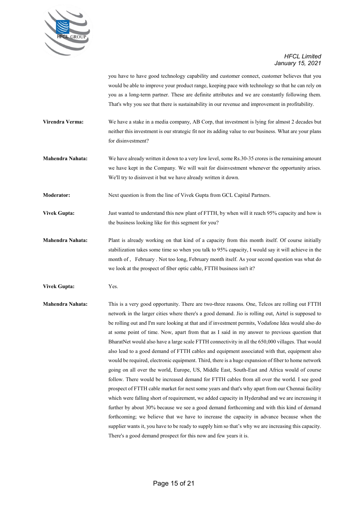

you have to have good technology capability and customer connect, customer believes that you would be able to improve your product range, keeping pace with technology so that he can rely on you as a long-term partner. These are definite attributes and we are constantly following them. That's why you see that there is sustainability in our revenue and improvement in profitability.

- **Virendra Verma:** We have a stake in a media company, AB Corp, that investment is lying for almost 2 decades but neither this investment is our strategic fit nor its adding value to our business. What are your plans for disinvestment?
- **Mahendra Nahata:** We have already written it down to a very low level, some Rs.30-35 crores is the remaining amount we have kept in the Company. We will wait for disinvestment whenever the opportunity arises. We'll try to disinvest it but we have already written it down.

**Moderator:** Next question is from the line of Vivek Gupta from GCL Capital Partners.

- **Vivek Gupta:** Just wanted to understand this new plant of FTTH, by when will it reach 95% capacity and how is the business looking like for this segment for you?
- **Mahendra Nahata:** Plant is already working on that kind of a capacity from this month itself. Of course initially stabilization takes some time so when you talk to 95% capacity, I would say it will achieve in the month of , February . Not too long, February month itself. As your second question was what do we look at the prospect of fiber optic cable, FTTH business isn't it?
- **Vivek Gupta:** Yes.
- **Mahendra Nahata:** This is a very good opportunity. There are two-three reasons. One, Telcos are rolling out FTTH network in the larger cities where there's a good demand. Jio is rolling out, Airtel is supposed to be rolling out and I'm sure looking at that and if investment permits, Vodafone Idea would also do at some point of time. Now, apart from that as I said in my answer to previous question that BharatNet would also have a large scale FTTH connectivity in all the 650,000 villages. That would also lead to a good demand of FTTH cables and equipment associated with that, equipment also would be required, electronic equipment. Third, there is a huge expansion of fiber to home network going on all over the world, Europe, US, Middle East, South-East and Africa would of course follow. There would be increased demand for FTTH cables from all over the world. I see good prospect of FTTH cable market for next some years and that's why apart from our Chennai facility which were falling short of requirement, we added capacity in Hyderabad and we are increasing it further by about 30% because we see a good demand forthcoming and with this kind of demand forthcoming; we believe that we have to increase the capacity in advance because when the supplier wants it, you have to be ready to supply him so that's why we are increasing this capacity. There's a good demand prospect for this now and few years it is.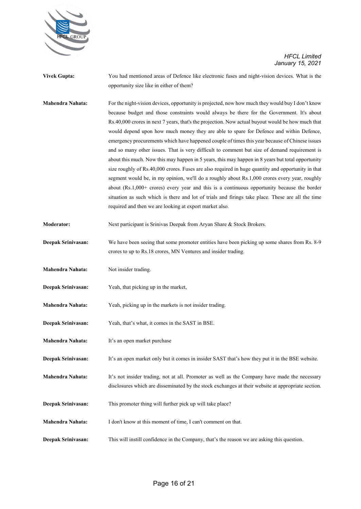

- **Vivek Gupta:** You had mentioned areas of Defence like electronic fuses and night-vision devices. What is the opportunity size like in either of them?
- **Mahendra Nahata:** For the night-vision devices, opportunity is projected, now how much they would buy I don't know because budget and those constraints would always be there for the Government. It's about Rs.40,000 crores in next 7 years, that's the projection. Now actual buyout would be how much that would depend upon how much money they are able to spare for Defence and within Defence, emergency procurements which have happened couple of times this year because of Chinese issues and so many other issues. That is very difficult to comment but size of demand requirement is about this much. Now this may happen in 5 years, this may happen in 8 years but total opportunity size roughly of Rs.40,000 crores. Fuses are also required in huge quantity and opportunity in that segment would be, in my opinion, we'll do a roughly about Rs.1,000 crores every year, roughly about (Rs.1,000+ crores) every year and this is a continuous opportunity because the border situation as such which is there and lot of trials and firings take place. These are all the time required and then we are looking at export market also.
- **Moderator:** Next participant is Srinivas Deepak from Aryan Share & Stock Brokers.
- **Deepak Srinivasan:** We have been seeing that some promoter entities have been picking up some shares from Rs. 8-9 crores to up to Rs.18 crores, MN Ventures and insider trading.
- **Mahendra Nahata:** Not insider trading.
- **Deepak Srinivasan:** Yeah, that picking up in the market,
- **Mahendra Nahata:** Yeah, picking up in the markets is not insider trading.
- **Deepak Srinivasan:** Yeah, that's what, it comes in the SAST in BSE.
- **Mahendra Nahata:** It's an open market purchase
- **Deepak Srinivasan:** It's an open market only but it comes in insider SAST that's how they put it in the BSE website.
- **Mahendra Nahata:** It's not insider trading, not at all. Promoter as well as the Company have made the necessary disclosures which are disseminated by the stock exchanges at their website at appropriate section.
- **Deepak Srinivasan:** This promoter thing will further pick up will take place?
- **Mahendra Nahata:** I don't know at this moment of time, I can't comment on that.
- **Deepak Srinivasan:** This will instill confidence in the Company, that's the reason we are asking this question.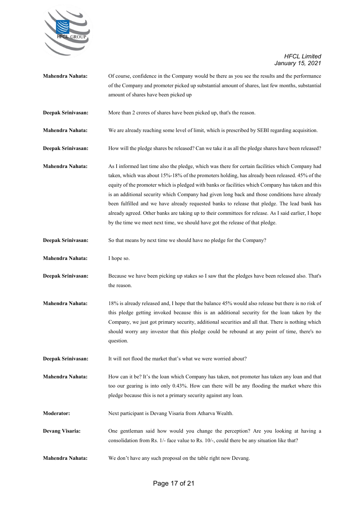

| <b>Mahendra Nahata:</b> | Of course, confidence in the Company would be there as you see the results and the performance<br>of the Company and promoter picked up substantial amount of shares, last few months, substantial<br>amount of shares have been picked up                                                                                                                                                                                                                                                                                                                                                                                                                                                         |
|-------------------------|----------------------------------------------------------------------------------------------------------------------------------------------------------------------------------------------------------------------------------------------------------------------------------------------------------------------------------------------------------------------------------------------------------------------------------------------------------------------------------------------------------------------------------------------------------------------------------------------------------------------------------------------------------------------------------------------------|
| Deepak Srinivasan:      | More than 2 crores of shares have been picked up, that's the reason.                                                                                                                                                                                                                                                                                                                                                                                                                                                                                                                                                                                                                               |
| Mahendra Nahata:        | We are already reaching some level of limit, which is prescribed by SEBI regarding acquisition.                                                                                                                                                                                                                                                                                                                                                                                                                                                                                                                                                                                                    |
| Deepak Srinivasan:      | How will the pledge shares be released? Can we take it as all the pledge shares have been released?                                                                                                                                                                                                                                                                                                                                                                                                                                                                                                                                                                                                |
| <b>Mahendra Nahata:</b> | As I informed last time also the pledge, which was there for certain facilities which Company had<br>taken, which was about 15%-18% of the promoters holding, has already been released. 45% of the<br>equity of the promoter which is pledged with banks or facilities which Company has taken and this<br>is an additional security which Company had given long back and those conditions have already<br>been fulfilled and we have already requested banks to release that pledge. The lead bank has<br>already agreed. Other banks are taking up to their committees for release. As I said earlier, I hope<br>by the time we meet next time, we should have got the release of that pledge. |
| Deepak Srinivasan:      | So that means by next time we should have no pledge for the Company?                                                                                                                                                                                                                                                                                                                                                                                                                                                                                                                                                                                                                               |
| Mahendra Nahata:        | I hope so.                                                                                                                                                                                                                                                                                                                                                                                                                                                                                                                                                                                                                                                                                         |
| Deepak Srinivasan:      | Because we have been picking up stakes so I saw that the pledges have been released also. That's<br>the reason.                                                                                                                                                                                                                                                                                                                                                                                                                                                                                                                                                                                    |
| Mahendra Nahata:        | 18% is already released and, I hope that the balance 45% would also release but there is no risk of<br>this pledge getting invoked because this is an additional security for the loan taken by the<br>Company, we just got primary security, additional securities and all that. There is nothing which<br>should worry any investor that this pledge could be rebound at any point of time, there's no<br>question.                                                                                                                                                                                                                                                                              |
| Deepak Srinivasan:      | It will not flood the market that's what we were worried about?                                                                                                                                                                                                                                                                                                                                                                                                                                                                                                                                                                                                                                    |
| <b>Mahendra Nahata:</b> | How can it be? It's the loan which Company has taken, not promoter has taken any loan and that<br>too our gearing is into only 0.43%. How can there will be any flooding the market where this<br>pledge because this is not a primary security against any loan.                                                                                                                                                                                                                                                                                                                                                                                                                                  |
| <b>Moderator:</b>       | Next participant is Devang Visaria from Atharva Wealth.                                                                                                                                                                                                                                                                                                                                                                                                                                                                                                                                                                                                                                            |
| <b>Devang Visaria:</b>  | One gentleman said how would you change the perception? Are you looking at having a<br>consolidation from Rs. 1/- face value to Rs. 10/-, could there be any situation like that?                                                                                                                                                                                                                                                                                                                                                                                                                                                                                                                  |
| Mahendra Nahata:        | We don't have any such proposal on the table right now Devang.                                                                                                                                                                                                                                                                                                                                                                                                                                                                                                                                                                                                                                     |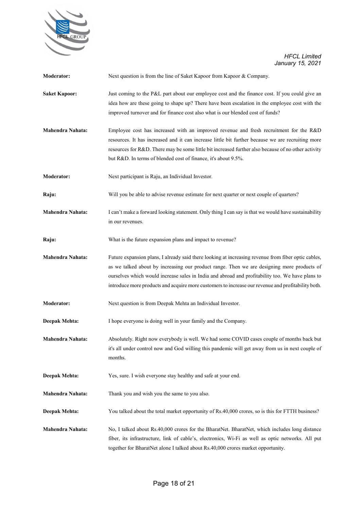

| <b>Moderator:</b>       | Next question is from the line of Saket Kapoor from Kapoor & Company.                                                                                                                                                                                                                                                                                                                                       |
|-------------------------|-------------------------------------------------------------------------------------------------------------------------------------------------------------------------------------------------------------------------------------------------------------------------------------------------------------------------------------------------------------------------------------------------------------|
| <b>Saket Kapoor:</b>    | Just coming to the P&L part about our employee cost and the finance cost. If you could give an<br>idea how are these going to shape up? There have been escalation in the employee cost with the<br>improved turnover and for finance cost also what is our blended cost of funds?                                                                                                                          |
| <b>Mahendra Nahata:</b> | Employee cost has increased with an improved revenue and fresh recruitment for the R&D<br>resources. It has increased and it can increase little bit further because we are recruiting more<br>resources for R&D. There may be some little bit increased further also because of no other activity<br>but R&D. In terms of blended cost of finance, it's about 9.5%.                                        |
| <b>Moderator:</b>       | Next participant is Raju, an Individual Investor.                                                                                                                                                                                                                                                                                                                                                           |
| Raju:                   | Will you be able to advise revenue estimate for next quarter or next couple of quarters?                                                                                                                                                                                                                                                                                                                    |
| Mahendra Nahata:        | I can't make a forward looking statement. Only thing I can say is that we would have sustainability<br>in our revenues.                                                                                                                                                                                                                                                                                     |
| Raju:                   | What is the future expansion plans and impact to revenue?                                                                                                                                                                                                                                                                                                                                                   |
| Mahendra Nahata:        | Future expansion plans, I already said there looking at increasing revenue from fiber optic cables,<br>as we talked about by increasing our product range. Then we are designing more products of<br>ourselves which would increase sales in India and abroad and profitability too. We have plans to<br>introduce more products and acquire more customers to increase our revenue and profitability both. |
| Moderator:              | Next question is from Deepak Mehta an Individual Investor.                                                                                                                                                                                                                                                                                                                                                  |
| Deepak Mehta:           | I hope everyone is doing well in your family and the Company.                                                                                                                                                                                                                                                                                                                                               |
| Mahendra Nahata:        | Absolutely. Right now everybody is well. We had some COVID cases couple of months back but<br>it's all under control now and God willing this pandemic will get away from us in next couple of<br>months.                                                                                                                                                                                                   |
| Deepak Mehta:           | Yes, sure. I wish everyone stay healthy and safe at your end.                                                                                                                                                                                                                                                                                                                                               |
| Mahendra Nahata:        | Thank you and wish you the same to you also.                                                                                                                                                                                                                                                                                                                                                                |
| Deepak Mehta:           | You talked about the total market opportunity of Rs.40,000 crores, so is this for FTTH business?                                                                                                                                                                                                                                                                                                            |
| Mahendra Nahata:        | No, I talked about Rs.40,000 crores for the BharatNet. BharatNet, which includes long distance<br>fiber, its infrastructure, link of cable's, electronics, Wi-Fi as well as optic networks. All put<br>together for BharatNet alone I talked about Rs.40,000 crores market opportunity.                                                                                                                     |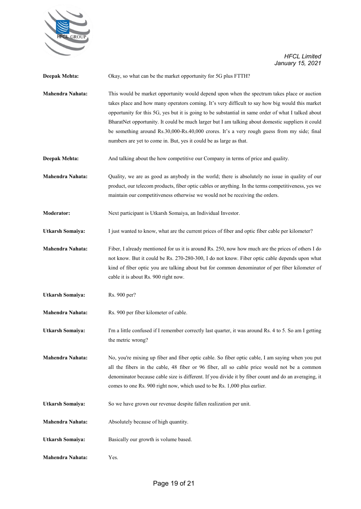

| Deepak Mehta:           | Okay, so what can be the market opportunity for 5G plus FTTH?                                                                                                                                                                                                                                                                                                                                                                                                                                                                                                                   |
|-------------------------|---------------------------------------------------------------------------------------------------------------------------------------------------------------------------------------------------------------------------------------------------------------------------------------------------------------------------------------------------------------------------------------------------------------------------------------------------------------------------------------------------------------------------------------------------------------------------------|
| Mahendra Nahata:        | This would be market opportunity would depend upon when the spectrum takes place or auction<br>takes place and how many operators coming. It's very difficult to say how big would this market<br>opportunity for this 5G, yes but it is going to be substantial in same order of what I talked about<br>BharatNet opportunity. It could be much larger but I am talking about domestic suppliers it could<br>be something around Rs.30,000-Rs.40,000 crores. It's a very rough guess from my side; final<br>numbers are yet to come in. But, yes it could be as large as that. |
| Deepak Mehta:           | And talking about the how competitive our Company in terms of price and quality.                                                                                                                                                                                                                                                                                                                                                                                                                                                                                                |
| Mahendra Nahata:        | Quality, we are as good as anybody in the world; there is absolutely no issue in quality of our<br>product, our telecom products, fiber optic cables or anything. In the terms competitiveness, yes we<br>maintain our competitiveness otherwise we would not be receiving the orders.                                                                                                                                                                                                                                                                                          |
| Moderator:              | Next participant is Utkarsh Somaiya, an Individual Investor.                                                                                                                                                                                                                                                                                                                                                                                                                                                                                                                    |
| <b>Utkarsh Somaiya:</b> | I just wanted to know, what are the current prices of fiber and optic fiber cable per kilometer?                                                                                                                                                                                                                                                                                                                                                                                                                                                                                |
| <b>Mahendra Nahata:</b> | Fiber, I already mentioned for us it is around Rs. 250, now how much are the prices of others I do<br>not know. But it could be Rs. 270-280-300, I do not know. Fiber optic cable depends upon what<br>kind of fiber optic you are talking about but for common denominator of per fiber kilometer of<br>cable it is about Rs. 900 right now.                                                                                                                                                                                                                                   |
| <b>Utkarsh Somaiya:</b> | Rs. 900 per?                                                                                                                                                                                                                                                                                                                                                                                                                                                                                                                                                                    |
| Mahendra Nahata:        | Rs. 900 per fiber kilometer of cable.                                                                                                                                                                                                                                                                                                                                                                                                                                                                                                                                           |
| <b>Utkarsh Somaiya:</b> | I'm a little confused if I remember correctly last quarter, it was around Rs. 4 to 5. So am I getting<br>the metric wrong?                                                                                                                                                                                                                                                                                                                                                                                                                                                      |
| <b>Mahendra Nahata:</b> | No, you're mixing up fiber and fiber optic cable. So fiber optic cable, I am saying when you put<br>all the fibers in the cable, 48 fiber or 96 fiber, all so cable price would not be a common<br>denominator because cable size is different. If you divide it by fiber count and do an averaging, it<br>comes to one Rs. 900 right now, which used to be Rs. 1,000 plus earlier.                                                                                                                                                                                             |
| Utkarsh Somaiya:        | So we have grown our revenue despite fallen realization per unit.                                                                                                                                                                                                                                                                                                                                                                                                                                                                                                               |
| Mahendra Nahata:        | Absolutely because of high quantity.                                                                                                                                                                                                                                                                                                                                                                                                                                                                                                                                            |
| Utkarsh Somaiya:        | Basically our growth is volume based.                                                                                                                                                                                                                                                                                                                                                                                                                                                                                                                                           |
| Mahendra Nahata:        | Yes.                                                                                                                                                                                                                                                                                                                                                                                                                                                                                                                                                                            |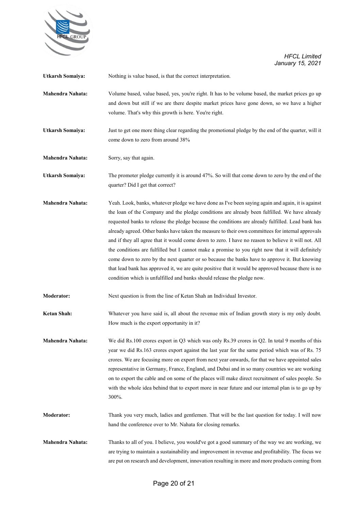

| <b>Utkarsh Somaiya:</b> | Nothing is value based, is that the correct interpretation.                                                                                                                                                                                                                                                                                                                                                                                                                                                                                                                                                                                                                                                                                                                                                                                                                                                  |
|-------------------------|--------------------------------------------------------------------------------------------------------------------------------------------------------------------------------------------------------------------------------------------------------------------------------------------------------------------------------------------------------------------------------------------------------------------------------------------------------------------------------------------------------------------------------------------------------------------------------------------------------------------------------------------------------------------------------------------------------------------------------------------------------------------------------------------------------------------------------------------------------------------------------------------------------------|
| <b>Mahendra Nahata:</b> | Volume based, value based, yes, you're right. It has to be volume based, the market prices go up<br>and down but still if we are there despite market prices have gone down, so we have a higher<br>volume. That's why this growth is here. You're right.                                                                                                                                                                                                                                                                                                                                                                                                                                                                                                                                                                                                                                                    |
| <b>Utkarsh Somaiya:</b> | Just to get one more thing clear regarding the promotional pledge by the end of the quarter, will it<br>come down to zero from around 38%                                                                                                                                                                                                                                                                                                                                                                                                                                                                                                                                                                                                                                                                                                                                                                    |
| Mahendra Nahata:        | Sorry, say that again.                                                                                                                                                                                                                                                                                                                                                                                                                                                                                                                                                                                                                                                                                                                                                                                                                                                                                       |
| <b>Utkarsh Somaiya:</b> | The promoter pledge currently it is around 47%. So will that come down to zero by the end of the<br>quarter? Did I get that correct?                                                                                                                                                                                                                                                                                                                                                                                                                                                                                                                                                                                                                                                                                                                                                                         |
| <b>Mahendra Nahata:</b> | Yeah. Look, banks, whatever pledge we have done as I've been saying again and again, it is against<br>the loan of the Company and the pledge conditions are already been fulfilled. We have already<br>requested banks to release the pledge because the conditions are already fulfilled. Lead bank has<br>already agreed. Other banks have taken the measure to their own committees for internal approvals<br>and if they all agree that it would come down to zero. I have no reason to believe it will not. All<br>the conditions are fulfilled but I cannot make a promise to you right now that it will definitely<br>come down to zero by the next quarter or so because the banks have to approve it. But knowing<br>that lead bank has approved it, we are quite positive that it would be approved because there is no<br>condition which is unfulfilled and banks should release the pledge now. |
| <b>Moderator:</b>       | Next question is from the line of Ketan Shah an Individual Investor.                                                                                                                                                                                                                                                                                                                                                                                                                                                                                                                                                                                                                                                                                                                                                                                                                                         |
| <b>Ketan Shah:</b>      | Whatever you have said is, all about the revenue mix of Indian growth story is my only doubt.<br>How much is the export opportunity in it?                                                                                                                                                                                                                                                                                                                                                                                                                                                                                                                                                                                                                                                                                                                                                                   |
| <b>Mahendra Nahata:</b> | We did Rs.100 crores export in Q3 which was only Rs.39 crores in Q2. In total 9 months of this<br>year we did Rs.163 crores export against the last year for the same period which was of Rs. 75<br>crores. We are focusing more on export from next year onwards, for that we have appointed sales<br>representative in Germany, France, England, and Dubai and in so many countries we are working<br>on to export the cable and on some of the places will make direct recruitment of sales people. So<br>with the whole idea behind that to export more in near future and our internal plan is to go up by<br>300%.                                                                                                                                                                                                                                                                                     |
| <b>Moderator:</b>       | Thank you very much, ladies and gentlemen. That will be the last question for today. I will now<br>hand the conference over to Mr. Nahata for closing remarks.                                                                                                                                                                                                                                                                                                                                                                                                                                                                                                                                                                                                                                                                                                                                               |
| Mahendra Nahata:        | Thanks to all of you. I believe, you would've got a good summary of the way we are working, we<br>are trying to maintain a sustainability and improvement in revenue and profitability. The focus we<br>are put on research and development, innovation resulting in more and more products coming from                                                                                                                                                                                                                                                                                                                                                                                                                                                                                                                                                                                                      |